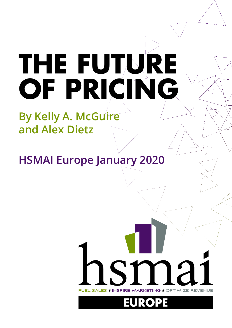# **THE FUTURE OF PRICING**

# **By Kelly A. McGuire and Alex Dietz**

**HSMAI Europe January 2020**

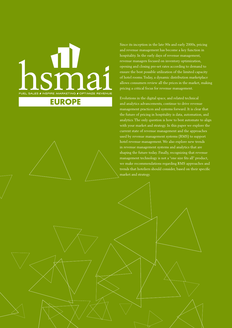# FUEL SALES I INSPIRE MARKETING I OPTIMIZE REVENUE

# **EUROPE**

**02**

Since its inception in the late 90s and early 2000s, pricing and revenue management has become a key function in hospitality. In the early days of revenue management, revenue managers focused on inventory optimization, opening and closing pre-set rates according to demand to ensure the best possible utilization of the limited capacity of hotel rooms. Today, a dynamic distribution marketplace allows consumers review all the prices in the market, making pricing a critical focus for revenue management.

Evolutions in the digital space, and related technical and analytics advancements, continue to drive revenue management practices and systems forward. It is clear that the future of pricing in hospitality is data, automation, and analytics. The only question is how to best automate to align with your market and strategy. In this paper we explore the current state of revenue management and the approaches used by revenue management systems (RMS) to support hotel revenue management. We also explore new trends in revenue management systems and analytics that are shaping the future today. Finally, recognizing that revenue management technology is not a "one size fits all" product, we make recommendations regarding RMS approaches and trends that hoteliers should consider, based on their specific market and strategy.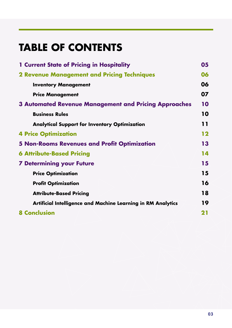# **TABLE OF CONTENTS**

| <b>1 Current State of Pricing in Hospitality</b>                    | 05 |
|---------------------------------------------------------------------|----|
| <b>2 Revenue Management and Pricing Techniques</b>                  | 06 |
| <b>Inventory Management</b>                                         | 06 |
| <b>Price Management</b>                                             | 07 |
| <b>3 Automated Revenue Management and Pricing Approaches</b>        | 10 |
| <b>Business Rules</b>                                               | 10 |
| <b>Analytical Support for Inventory Optimization</b>                | 11 |
| <b>4 Price Optimization</b>                                         | 12 |
| <b>5 Non-Rooms Revenues and Profit Optimization</b>                 | 13 |
| <b>6 Attribute-Based Pricing</b>                                    | 14 |
| <b>7 Determining your Future</b>                                    | 15 |
| <b>Price Optimization</b>                                           | 15 |
| <b>Profit Optimization</b>                                          | 16 |
| <b>Attribute-Based Pricing</b>                                      | 18 |
| <b>Artificial Intelligence and Machine Learning in RM Analytics</b> | 19 |
| <b>8 Conclusion</b>                                                 | 21 |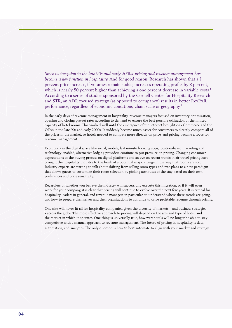*Since its inception in the late 90s and early 2000s, pricing and revenue management has become a key function in hospitality.* And for good reason. Research has shown that a 1 percent price increase, if volumes remain stable, increases operating profits by 8 percent, which is nearly 50 percent higher than achieving a one percent decrease in variable costs.<sup>1</sup> According to a series of studies sponsored by the Cornell Center for Hospitality Research and STR, an ADR focused strategy (as opposed to occupancy) results in better RevPAR performance, regardless of economic conditions, chain scale or geography.<sup>2</sup>

In the early days of revenue management in hospitality, revenue managers focused on inventory optimization, opening and closing pre-set rates according to demand to ensure the best possible utilization of the limited capacity of hotel rooms. This worked well until the emergence of the internet brought on eCommerce and the OTAs in the late 90s and early 2000s. It suddenly became much easier for consumers to directly compare all of the prices in the market, so hotels needed to compete more directly on price, and pricing became a focus for revenue management.

Evolutions in the digital space like social, mobile, last minute booking apps, location-based marketing and technology-enabled, alternative lodging providers continue to put pressure on pricing. Changing consumer expectations of the buying process on digital platforms and an eye on recent trends in air travel pricing have brought the hospitality industry to the brink of a potential major change in the way that rooms are sold. Industry experts are starting to talk about shifting from selling room types and rate plans to a new paradigm that allows guests to customize their room selection by picking attributes of the stay based on their own preferences and price sensitivity.

Regardless of whether you believe the industry will successfully execute this migration, or if it will even work for your company, it is clear that pricing will continue to evolve over the next few years. It is critical for hospitality leaders in general, and revenue managers in particular, to understand where these trends are going, and how to prepare themselves and their organizations to continue to drive profitable revenue through pricing.

One size will never fit all for hospitality companies, given the diversity of markets – and business strategies - across the globe. The most effective approach to pricing will depend on the size and type of hotel, and the market in which it operates. One thing is universally true, however: hotels will no longer be able to stay competitive with a manual approach to revenue management. The future of pricing in hospitality is data, automation, and analytics. The only question is how to best automate to align with your market and strategy.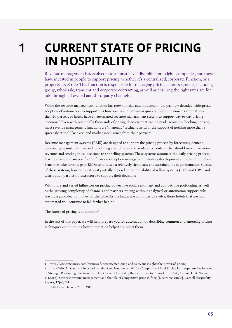<span id="page-4-0"></span>**1** 

# **CURRENT STATE OF PRICING IN HOSPITALITY**

Revenue management has evolved into a "must have" discipline for lodging companies, and most have invested in people to support pricing, whether it's a centralized, corporate function, or a property-level role. This function is responsible for managing pricing across segments, including group, wholesale, transient and corporate contracting, as well as ensuring the right rates are for sale through all owned and third-party channels.

While the revenue management function has grown in size and influence in the past few decades, widespread adoption of automation to support this function has not grown as quickly. Current estimates are that less than 20 percent of hotels have an automated revenue management system to support day-to-day pricing decisions.3 Even with potentially thousands of pricing decisions that can be made across the booking horizon, most revenue management functions are "manually" setting rates with the support of nothing more than a spreadsheet tool like excel and market intelligence from their partners.

Revenue management systems (RMS) are designed to support the pricing process by forecasting demand, optimizing against that demand, producing a set of rates and availability controls that should maximize room revenue, and sending those decisions to the selling systems. These systems automate the daily pricing process, leaving revenue managers free to focus on exception management, strategy development and execution. Those firms that take advantage of RMSs tend to see a relatively significant and sustained lift in performance. Success of these systems, however, is at least partially dependent on the ability of selling systems (PMS and CRS) and distribution partner infrastructure to support their decisions.

leaving a good deal of money on the table. As the landscape continues to evolve, those hotels that are not With more and varied influences on pricing power, like social sentiment and competitive positioning, as well as the growing complexity of channels and partners, pricing without analytical or automation support risks automated will continue to fall farther behind.

The future of pricing is automation!

In the rest of this paper, we will help prepare you for automation by describing common and emerging pricing techniques and outlining how automation helps to support them.

<sup>1</sup> https://www.mckinsey.com/business-functions/marketing-and-sales/our-insights/the-power-of-pricing

<sup>2</sup> Enz, Cathy A., Canina, Linda and van der Rest, Jean Pierre (2015). Competitive Hotel Pricing in Europe: An Exploration of Strategic Positioning [electronic article]. Cornell Hospitality Report, 15(2), 6-16. And Enz, C. A., Canina, L., & Noone, B. (2012). Strategic revenue management and the role of competitive price shifting [Electronic article]. Cornell Hospitality Report, 12(6), 6-11.

<sup>3</sup> Skift Research, as of April 2019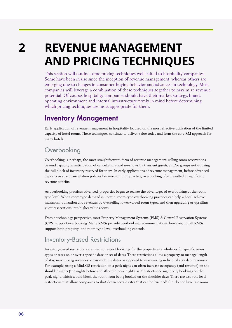<span id="page-5-0"></span>**2** 

# **REVENUE MANAGEMENT AND PRICING TECHNIQUES**

This section will outline some pricing techniques well suited to hospitality companies. Some have been in use since the inception of revenue management, whereas others are emerging due to changes in consumer buying behavior and advances in technology. Most companies will leverage a combination of these techniques together to maximize revenue potential. Of course, hospitality companies should have their market strategy, brand, operating environment and internal infrastructure firmly in mind before determining which pricing techniques are most appropriate for them.

# Inventory Management

Early application of revenue management in hospitality focused on the most effective utilization of the limited capacity of hotel rooms. These techniques continue to deliver value today and form the core RM approach for many hotels.

# **Overbooking**

Overbooking is, perhaps, the most straightforward form of revenue management: selling room reservations beyond capacity in anticipation of cancellations and no-shows by transient guests, and/or groups not utilizing the full block of inventory reserved for them. In early applications of revenue management, before advanced deposits or strict cancellation policies became common practice, overbooking often resulted in significant revenue benefits.

As overbooking practices advanced, properties began to realize the advantages of overbooking at the room type level. When room type demand is uneven, room-type overbooking practices can help a hotel achieve maximum utilization and revenues by overselling lower-valued room types, and then upgrading or upselling guest reservations into higher-value rooms.

From a technology perspective, most Property Management Systems (PMS) & Central Reservation Systems (CRS) support overbooking. Many RMSs provide overbooking recommendations, however, not all RMSs support both property- and room type-level overbooking controls.

# Inventory-Based Restrictions

Inventory-based restrictions are used to restrict bookings for the property as a whole, or for specific room types or rates on or over a specific date or set of dates. These restrictions allow a property to manage length of stay, maximizing revenues across multiple dates, as opposed to maximizing individual stay date revenues. For example, using a MinLOS restriction on a peak night can often increase occupancy (and revenue) on the shoulder nights (the nights before and after the peak night), as it restricts one night only bookings on the peak night, which would block the room from being booked on the shoulder days. There are also rate level restrictions that allow companies to shut down certain rates that can be "yielded" (i.e. do not have last room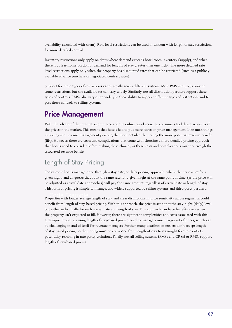<span id="page-6-0"></span>availability associated with them). Rate level restrictions can be used in tandem with length of stay restrictions for more detailed control.

Inventory restrictions only apply on dates where demand exceeds hotel room inventory (supply), and when there is at least some portion of demand for lengths of stay greater than one night. The more detailed rate level restrictions apply only when the property has discounted rates that can be restricted (such as a publicly available advance purchase or negotiated contract rates).

Support for these types of restrictions varies greatly across different systems. Most PMS and CRSs provide some restrictions, but the available set can vary widely. Similarly, not all distribution partners support these types of controls. RMSs also vary quite widely in their ability to support different types of restrictions and to pass those controls to selling systems.

# Price Management

With the advent of the internet, ecommerce and the online travel agencies, consumers had direct access to all the prices in the market. This meant that hotels had to put more focus on price management. Like most things in pricing and revenue management practice, the more detailed the pricing the more potential revenue benefit (lift). However, there are costs and complications that come with choosing a more detailed pricing approach that hotels need to consider before making these choices, as these costs and complications might outweigh the associated revenue benefit.

# Length of Stay Pricing

Today, most hotels manage price through a stay date, or daily pricing, approach, where the price is set for a given night, and all guests that book the same rate for a given night at the same point in time, (as the price will be adjusted as arrival date approaches) will pay the same amount, regardless of arrival date or length of stay. This form of pricing is simple to manage, and widely supported by selling systems and third-party partners.

Properties with longer average length of stay, and clear distinctions in price sensitivity across segments, could benefit from length of stay-based pricing. With this approach, the price is set not at the stay-night (daily) level, but rather individually for each arrival date and length of stay. This approach can have benefits even when the property isn't expected to fill. However, there are significant complexities and costs associated with this technique. Properties using length of stay-based pricing need to manage a much larger set of prices, which can be challenging in and of itself for revenue managers. Further, many distribution outlets don't accept length of stay based pricing, so the pricing must be converted from length of stay to stay-night for these outlets, potentially resulting in rate parity violations. Finally, not all selling systems (PMSs and CRSs) or RMSs support length of stay-based pricing.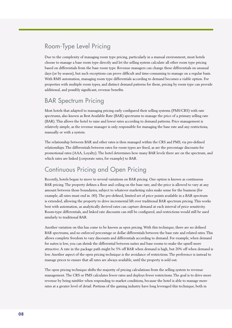# Room-Type Level Pricing

Due to the complexity of managing room type pricing, particularly in a manual environment, most hotels choose to manage a base room type directly and let the selling system calculate all other room type pricing based on differentials from the base room type. Revenue managers can change these differentials on unusual days (or by season), but such exceptions can prove difficult and time-consuming to manage on a regular basis. With RMS automation, managing room type differentials according to demand becomes a viable option. For properties with multiple room types, and distinct demand patterns for them, pricing by room type can provide additional, and possibly significant, revenue benefits.

# BAR Spectrum Pricing

Most hotels that adapted to managing pricing early configured their selling systems (PMS/CRS) with rate spectrums, also known as Best Available Rate (BAR) spectrums to manage the price of a primary selling rate (BAR). This allows the hotel to raise and lower rates according to demand patterns. Price management is relatively simple, as the revenue manager is only responsible for managing the base rate and any restrictions, manually or with a system.

The relationship between BAR and other rates is then managed within the CRS and PMS, via pre-defined relationships. The differentials between rates for room types are fixed, as are the percentage discounts for promotional rates (AAA, Loyalty). The hotel determines how many BAR levels there are on the spectrum, and which rates are linked (corporate rates, for example) to BAR.

# Continuous Pricing and Open Pricing

Recently, hotels begun to move to several variations on BAR pricing. One option is known as continuous BAR pricing. The property defines a floor and ceiling on the base rate, and the price is allowed to vary at any amount between those boundaries, subject to whatever marketing rules make sense for the business (for example, all rates must end in .00). The pre-defined, limited set of price points available in a BAR spectrum is extended, allowing the property to drive incremental lift over traditional BAR spectrum pricing. This works best with automation, as analytically derived rates can capture demand at each interval of price sensitivity. Room-type differentials, and linked rate discounts can still be configured, and restrictions would still be used similarly to traditional BAR.

Another variation on this has come to be known as open pricing. With this technique, there are no defined BAR spectrums, and no enforced percentage or dollar differentials between the base rate and related rates. This allows complete freedom to vary discounts and differentials according to demand. For example, when demand for suites is low, you can shrink the differential between suites and base rooms to make the upsell more attractive. A rate in the package path might be 5% off BAR when demand is high, but 20% off when demand is low. Another aspect of the open pricing technique is the avoidance of restrictions. The preference is instead to manage prices to ensure that all rates are always available, until the property is sold out.

The open pricing technique shifts the majority of pricing calculations from the selling system to revenue management. The CRS or PMS calculates fewer rates and deploys fewer restrictions. The goal is to drive more revenue by being nimbler when responding to market conditions, because the hotel is able to manage more rates at a greater level of detail. Portions of the gaming industry have long leveraged this technique, both in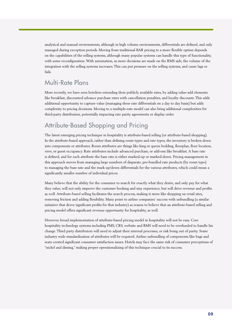analytical and manual environments, although in high volume environments, differentials are defined, and only managed during exception periods. Moving from traditional BAR pricing to a more flexible option depends on the capabilities of the selling systems, although many popular systems can handle this type of functionality, with some reconfiguration. With automation, as more decisions are made on the RMS side, the volume of the integration with the selling systems increases. This can put pressure on the selling systems, and cause lags or fails.

# Multi-Rate Plans

More recently, we have seen hoteliers extending their publicly available rates, by adding value-add elements like breakfast, discounted advance purchase rates with cancellation penalties, and loyalty discounts. This adds additional opportunity to capture value (managing these rate differentials on a day to day basis) but adds complexity to pricing decisions. Moving to a multiple-rate model can also bring additional complexities for third-party distribution, potentially impacting rate parity agreements or display order.

# Attribute-Based Shopping and Pricing

The latest emerging pricing technique in hospitality is attribute-based selling (or attribute-based shopping). In the attribute-based approach, rather than defining room types and rate types, the inventory is broken down into components or attributes. Room attributes are things like king or queen bedding, floorplan, floor location, view, or guest occupancy. Rate attributes include advanced purchase, or add-ons like breakfast. A base rate is defined, and for each attribute the base rate is either marked-up or marked-down. Pricing management in this approach moves from managing large numbers of disparate, pre-bundled rate products (by room type) to managing the base rate and the mark up/down differentials for the various attributes, which could mean a significantly smaller number of individual prices.

Code Example: as well. Attribute-based selling facilitates the search process, making it more like shopping on retail sites, Many believe that the ability for the consumer to search for exactly what they desire, and only pay for what they value, will not only improve the customer booking and stay experience, but will drive revenue and profits removing friction and adding flexibility. Many point to airline companies' success with unbundling (a similar initiative that drove significant profits for that industry) as reason to believe that an attribute-based selling and pricing model offers significant revenue opportunity for hospitality, as well.

However, broad implementation of attribute-based pricing model in hospitality will not be easy. Core hospitality technology systems including PMS, CRS, website and RMS will need to be overhauled to handle his change. Third party distributors will need to adjust their internal processes, or risk being out of parity. Some industry wide standardization of attributes will be required. Airline unbundling of components like bags and seats created significant consumer satisfaction issues. Hotels may face the same risk of consumer perceptions of "nickel and diming," making proper operationalizing of this technique crucial to its success.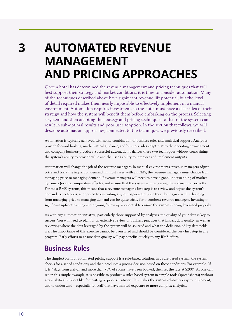<span id="page-9-0"></span>**3** 

# **AUTOMATED REVENUE MANAGEMENT AND PRICING APPROACHES**

Once a hotel has determined the revenue management and pricing techniques that will best support their strategy and market conditions, it is time to consider automation. Many of the techniques described above have significant revenue lift potential, but the level of detail required makes them nearly impossible to effectively implement in a manual environment. Automation requires investment, so the hotel must have a clear idea of their strategy and how the system will benefit them before embarking on the process. Selecting a system and then adapting the strategy and pricing techniques to that of the system can result in sub-optimal results and poor user adoption. In the section that follows, we will describe automation approaches, connected to the techniques we previously described.

Automation is typically achieved with some combination of business rules and analytical support. Analytics provide forward looking, mathematical guidance, and business rules adapt that to the operating environment and company business practices. Successful automation balances these two techniques without constraining the system's ability to provide value and the user's ability to interpret and implement outputs.

Automation will change the job of the revenue managers. In manual environments, revenue managers adjust price and track the impact on demand. In most cases, with an RMS, the revenue managers must change from managing price to managing demand. Revenue managers will need to have a good understanding of market dynamics (events, competitive effects), and ensure that the system is interpreting these dynamics correctly. For most RMS systems, this means that a revenue manager's first step is to review and adjust the system's demand expectations, as opposed to overriding a system-generated price they don't agree with. Changing from managing price to managing demand can be quite tricky for incumbent revenue managers. Investing in significant upfront training and ongoing follow up is essential to ensure the system is being leveraged properly.

As with any automation initiative, particularly those supported by analytics, the quality of your data is key to success. You will need to plan for an extensive review of business practices that impact data quality, as well as reviewing where the data leveraged by the system will be sourced and what the definition of key data fields are. The importance of this exercise cannot be overstated and should be considered the very first step in any program. Early efforts to ensure data quality will pay benefits quickly to any RMS effort.

# Business Rules

The simplest form of automated pricing support is a rule-based solution. In a rule-based system, the system checks for a set of conditions, and then produces a pricing decision based on these conditions. For example, "if it is 7 days from arrival, and more than 75% of rooms have been booked, then set the rate at \$200". As one can see in this simple example, it is possible to produce a rules-based system in simple tools (spreadsheets) without any analytical support like forecasting or price sensitivity. This makes the system relatively easy to implement, and to understand – especially for staff that have limited exposure to more complex analytics.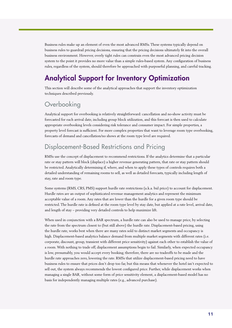<span id="page-10-0"></span>Business rules make up an element of even the most advanced RMSs. These systems typically depend on business rules to guardrail pricing decisions, ensuring that the pricing decisions ultimately fit into the overall business environment. However, overly tight rules can constrain even the most advanced pricing decision system to the point it provides no more value than a simple rules-based system. Any configuration of business rules, regardless of the system, should therefore be approached with purposeful planning, and careful tracking.

# Analytical Support for Inventory Optimization

This section will describe some of the analytical approaches that support the inventory optimization techniques described previously.

## **Overbooking**

Analytical support for overbooking is relatively straightforward: cancellation and no-show activity must be forecasted for each arrival date, including group block utilization, and this forecast is then used to calculate appropriate overbooking levels considering risk tolerance and consumer impact. For simple properties, a property level forecast is sufficient. For more complex properties that want to leverage room type overbooking, forecasts of demand and cancellation/no shows at the room type level are required.

# Displacement-Based Restrictions and Pricing

RMSs use the concept of displacement to recommend restrictions. If the analytics determine that a particular rate or stay pattern will block (displace) a higher revenue generating pattern, that rate or stay pattern should be restricted. Analytically determining if, where, and when to apply these types of controls requires both a detailed understanding of remaining rooms to sell, as well as detailed forecasts, typically including length of stay, rate and room type.

Hurdle rates are an output of sophisticated revenue management analytics and represent the minimum<br>Alternative development and the management analytics and represent the minimum Some systems (RMS, CRS, PMS) support hurdle rate restrictions (a.k.a. bid price) to account for displacement. acceptable value of a room. Any rates that are lower than the hurdle for a given room type should be restricted. The hurdle rate is defined at the room type level by stay date, but applied at a rate level, arrival date, and length of stay – providing very detailed controls to help maximize lift.

When used in conjunction with a BAR spectrum, a hurdle rate can also be used to manage price, by selecting the rate from the spectrum closest to (but still above) the hurdle rate. Displacement-based pricing, using the hurdle rate, works best when there are many rates sold to distinct market segments and occupancy is high. Displacement-based analytics balance demand from multiple market segments with different rates (i.e. corporate, discount, group, transient with different price sensitivity) against each other to establish the value of a room. With nothing to trade off, displacement assumptions begin to fail. Similarly, when expected occupancy is low, presumably, you would accept every booking; therefore, there are no tradeoffs to be made and the hurdle rate approaches zero, lowering the rate. RMSs that utilize displacement-based pricing need to have business rules to ensure that prices don't drop too far, but this means that whenever the hotel isn't expected to sell out, the system always recommends the lowest configured price. Further, while displacement works when managing a single BAR, without some form of price sensitivity element, a displacement-based model has no basis for independently managing multiple rates (e.g., advanced purchase).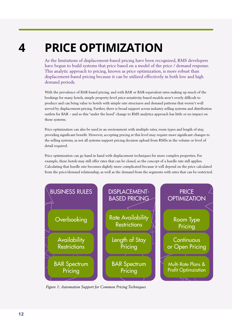# <span id="page-11-0"></span>**PRICE OPTIMIZATION 4**

As the limitations of displacement-based pricing have been recognized, RMS developers have begun to build systems that price based on a model of the price / demand response. This analytic approach to pricing, known as price optimization, is more robust than displacement-based pricing because it can be utilized effectively in both low and high demand periods.

With the prevalence of BAR-based pricing, and with BAR or BAR-equivalent rates making up much of the bookings for many hotels, simple property-level price-sensitivity-based models aren't overly difficult to produce and can bring value to hotels with simple rate structures and demand patterns that weren't well served by displacement-pricing. Further, there is broad support across industry selling systems and distribution outlets for BAR – and so this "under the hood" change to RMS analytics approach has little or no impact on those systems.

Price optimization can also be used in an environment with multiple rates, room types and length of stay, providing significant benefit. However, accepting pricing at this level may require more significant changes to the selling systems, as not all systems support pricing decision upload from RMSs in the volume or level of detail required.

Price optimization can go hand in hand with displacement techniques for more complex properties. For example, these hotels may still offer rates that can be closed, so the concept of a hurdle rate still applies. Calculating that hurdle rate becomes slightly more complicated because it will depend on the price calculated from the price/demand relationship, as well as the demand from the segments with rates that can be restricted.



*Figure 1: Automation Support for Common Pricing Techniques*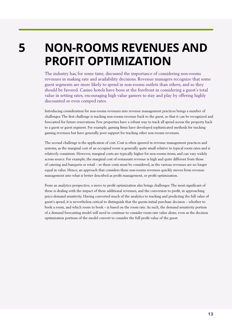<span id="page-12-0"></span>**5** 

# **NON-ROOMS REVENUES AND PROFIT OPTIMIZATION**

The industry has, for some time, discussed the importance of considering non-rooms revenues in making rate and availability decisions. Revenue managers recognize that some guest segments are more likely to spend in non-rooms outlets than others, and so they should be favored. Casino hotels have been at the forefront in considering a guest's total value in setting rates, encouraging high value gamers to stay and play by offering highly discounted or even comped rates.

Introducing consideration for non-rooms revenues into revenue management practices brings a number of challenges. The first challenge is tracking non-rooms revenue back to the guest, so that it can be recognized and forecasted for future reservations. Few properties have a robust way to track all spend across the property back to a guest or guest segment. For example, gaming firms have developed sophisticated methods for tracking gaming revenues but have generally poor support for tracking other non-rooms revenues.

The second challenge is the application of cost. Cost is often ignored in revenue management practices and systems, as the marginal cost of an occupied room is generally quite small relative to typical room rates and is relatively consistent. However, marginal costs are typically higher for non-rooms items, and can vary widely across source. For example, the marginal cost of restaurant revenue is high and quite different from those of catering and banquets or retail – so these costs must be considered, as the various revenues are no longer equal in value. Hence, an approach that considers these non-rooms revenues quickly moves from revenue management into what is better described as profit management, or profit optimization.

From an analytics perspective, a move to profit optimization also brings challenges. The most significant of these is dealing with the impact of these additional revenues, and the conversion to profit, in approaching price-demand sensitivity. Having converted much of the analytics to tracking and predicting the full value of guest's spend, it is nevertheless critical to distinguish that the guests initial purchase decision – whether to book a room, and which room to book – is based on the room rate. As such, the demand sensitivity portion of a demand forecasting model will need to continue to consider room rate value alone, even as the decision optimization portions of the model convert to consider the full profit value of the guest.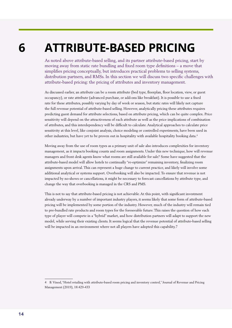# **ATTRIBUTE-BASED PRICING**

As noted above attribute-based selling, and its partner attribute-based pricing, start by moving away from static rate bundling and fixed room type definitions – a move that simplifies pricing conceptually, but introduces practical problems to selling systems, distribution partners, and RMSs. In this section we will discuss two specific challenges with attribute-based pricing: the pricing of attributes and inventory management.

As discussed earlier, an attribute can be a room attribute (bed type, floorplan, floor location, view, or guest occupancy), or rate attribute (advanced purchase, or add-ons like breakfast). It is possible to use a fixed rate for these attributes, possibly varying by day of week or season, but static rates will likely not capture the full revenue potential of attribute-based selling. However, analytically pricing these attributes requires predicting guest demand for attribute selections, based on attribute pricing, which can be quite complex. Price sensitivity will depend on the attractiveness of each attribute as well as the price implications of combination of attributes, and this interdependency will be difficult to calculate. Analytical approaches to calculate price sensitivity at this level, like conjoint analysis, choice modeling or controlled experiments, have been used in other industries, but have yet to be proven out in hospitality with available hospitality booking data.4

Moving away from the use of room types as a primary unit of sale also introduces complexities for inventory management, as it impacts booking counts and room assignments. Under this new technique, how will revenue managers and front desk agents know what rooms are still available for sale? Some have suggested that the attribute-based model will allow hotels to continually "re-optimize" remaining inventory, finalizing room assignments upon arrival. This can represent a huge change to current practice, and likely will involve some additional analytical or systems support. Overbooking will also be impacted. To ensure that revenue is not impacted by no-shows or cancellations, it might be necessary to forecast cancellations by attribute type, and change the way that overbooking is managed in the CRS and PMS.

This is not to say that attribute-based pricing is not achievable. At this point, with significant investment already underway by a number of important industry players, it seems likely that some form of attribute-based pricing will be implemented by some portion of the industry. However, much of the industry will remain tied to pre-bundled rate products and room types for the foreseeable future. This raises the question of how each type of player will compete in a "hybrid" market, and how distribution partners will adapt to support the new model, while serving their existing clients. It seems logical that the revenue potential of attribute-based selling will be impacted in an environment where not all players have adopted this capability.7

<span id="page-13-0"></span>**6** 

<sup>4</sup> B. Vinod, "Hotel retailing with attribute-based room pricing and inventory control," Journal of Revenue and Pricing Management (2019), 18:429-433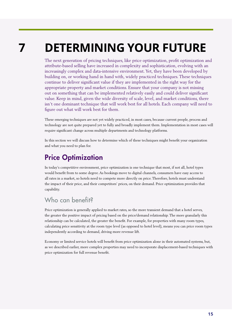# <span id="page-14-0"></span>**DETERMINING YOUR FUTURE 7**

The next generation of pricing techniques, like price optimization, profit optimization and attribute-based selling have increased in complexity and sophistication, evolving with an increasingly complex and data-intensive environment. Yet, they have been developed by building on, or working hand in hand with, widely practiced techniques. These techniques continue to deliver significant value if they are implemented in the right way for the appropriate property and market conditions. Ensure that your company is not missing out on something that can be implemented relatively easily and could deliver significant value. Keep in mind, given the wide diversity of scale, level, and market conditions, there isn't one dominant technique that will work best for all hotels. Each company will need to figure out what will work best for them.

These emerging techniques are not yet widely practiced, in most cases, because current people, process and technology are not quite prepared yet to fully and broadly implement them. Implementation in most cases will require significant change across multiple departments and technology platforms.

In this section we will discuss how to determine which of these techniques might benefit your organization and what you need to plan for.

# Price Optimization

In today's competitive environment, price optimization is one technique that most, if not all, hotel types would benefit from to some degree. As bookings move to digital channels, consumers have easy access to all rates in a market, so hotels need to compete more directly on price. Therefore, hotels must understand the impact of their price, and their competitors' prices, on their demand. Price optimization provides that capability.

# Who can benefit?

Price optimization is generally applied to market rates, so the more transient demand that a hotel serves, the greater the positive impact of pricing based on the price/demand relationship. The more granularly this relationship can be calculated, the greater the benefit. For example, for properties with many room types, calculating price sensitivity at the room type level (as opposed to hotel level), means you can price room types independently according to demand, driving more revenue lift.

Economy or limited service hotels will benefit from price optimization alone in their automated systems, but, as we described earlier, more complex properties may need to incorporate displacement-based techniques with price optimization for full revenue benefit.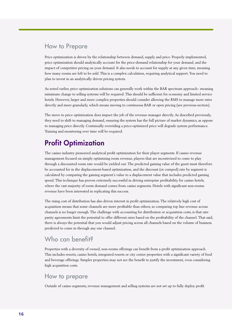### <span id="page-15-0"></span>How to Prepare

Price optimization is driven by the relationship between demand, supply and price. Properly implemented, price optimization should analytically account for the price-demand relationship for your demand, and the impact of competitor pricing on your demand. It also needs to account for supply at any given time, meaning how many rooms are left to be sold. This is a complex calculation, requiring analytical support. You need to plan to invest in an analytically driven pricing system.

As noted earlier, price optimization solutions can generally work within the BAR spectrum approach– meaning minimum change to selling systems will be required. This should be sufficient for economy and limited service hotels. However, larger and more complex properties should consider allowing the RMS to manage more rates directly and more granularly, which means moving to continuous BAR or open pricing (see previous section).

The move to price optimization does impact the job of the revenue manager directly. As described previously, they need to shift to managing demand, ensuring the system has the full picture of market dynamics, as oppose to managing price directly. Continually overriding a price-optimized price will degrade system performance. Training and monitoring over time will be required.

# Profit Optimization

The casino industry pioneered analytical profit optimization for their player segments. If casino revenue management focused on simply optimizing room revenue, players that are incentivized to come to play through a discounted room rate would be yielded out. The predicted gaming value of the guest must therefore be accounted for in the displacement-based optimization, and the discount (or comped) rate by segment is calculated by comparing the gaming segment's value to a displacement value that includes predicted gaming spend. This technique has proven extremely successful in driving enterprise profitability for casino hotels, where the vast majority of room demand comes from casino segments. Hotels with significant non-rooms revenue have been interested in replicating this success.

The rising cost of distribution has also driven interest in profit optimization. The relatively high cost of acquisition means that some channels are more profitable than others, so comparing top line revenue across channels is no longer enough. The challenge with accounting for distribution or acquisition costs, is that rate parity agreements limit the potential to offer different rates based on the profitability of the channel. That said, there is always the potential that you would adjust pricing across all channels based on the volume of business predicted to come in through any one channel.

# Who can benefit?

Properties with a diversity of owned, non-rooms offerings can benefit from a profit optimization approach. This includes resorts, casino hotels, integrated resorts or city center properties with a significant variety of food and beverage offerings. Simpler properties may not see the benefit to justify the investment, even considering high acquisition costs.

### How to prepare

Outside of casino segments, revenue management and selling systems are not set up to fully deploy profit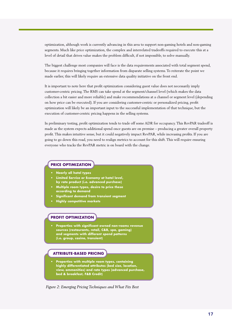optimization, although work is currently advancing in this area to support non-gaming hotels and non-gaming segments. Much like price optimization, the complex and interrelated tradeoffs required to execute this at a level of detail that drives value makes the problem difficult, if not impossible, to solve manually.

The biggest challenge most companies will face is the data requirements associated with total segment spend, because it requires bringing together information from disparate selling systems. To reiterate the point we made earlier, this will likely require an extensive data quality initiative on the front end.

It is important to note here that profit optimization considering guest value does not necessarily imply customer-centric pricing. The RMS can take spend at the segment/channel level (which makes the data collection a bit easier and more reliable) and make recommendations at a channel or segment level (depending on how price can be executed). If you are considering customer-centric or personalized pricing, profit optimization will likely be an important input to the successful implementation of that technique, but the execution of customer-centric pricing happens in the selling systems.

In preliminary testing, profit optimization tends to trade off some ADR for occupancy. This RevPAR tradeoff is made as the system expects additional spend once guests are on premise – producing a greater overall property profit. This makes intuitive sense, but it could negatively impact RevPAR, while increasing profits. If you are going to go down this road, you need to realign metrics to account for this shift. This will require ensuring everyone who tracks the RevPAR metric is on board with the change.

### **PRICE OPTIMIZATION**

- **• Nearly all hotel types**
- **• Limited Service or Economy at hotel level, by rate product (i.e. advanced purchase)**
- **• Multiple room types, desire to price these according to demand**
- **• Significant demand from transient segment**
- **• Highly competitive markets**

### **PROFIT OPTIMIZATION**

**• Properties with significant owned non-rooms revenue sources (restaurants, retail, C&B, spa, gaming) and segments with different spend patterns (i.e. group, casino, transient)**

### **ATTRIBUTE-BASED PRICING**

**• Properties with multiple room types, containing highly differentiated attributes (bed size, location, view, ammenities) and rate types (advanced purchase, bed & breakfast, F&B Credit)**

*Figure 2: Emerging Pricing Techniques and What Fits Best*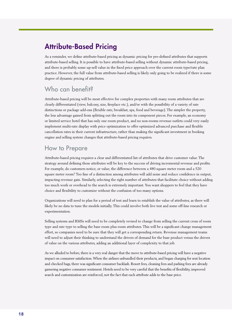# <span id="page-17-0"></span>Attribute-Based Pricing

As a reminder, we define attribute-based pricing as dynamic pricing for pre-defined attributes that supports attribute-based selling. It is possible to have attribute-based selling without dynamic attribute-based pricing, and there is probably some up-sell value in the fixed price approach over the current room type/rate plan practice. However, the full value from attribute-based selling is likely only going to be realized if there is some degree of dynamic pricing of attributes.

# Who can benefit?

Attribute-based pricing will be most effective for complex properties with many room attributes that are clearly differentiated (view, balcony, size, fireplace etc.), and/or with the possibility of a variety of rate distinctions or package add-ons (flexible rate, breakfast, spa, food and beverage). The simpler the property, the less advantage gained from splitting out the room into its component pieces. For example, an economy or limited service hotel that has only one room product, and no non-rooms revenue outlets could very easily implement multi-rate display with price optimization to offer optimized advanced purchase and flexible cancellation rates in their current infrastructure, rather than making the significant investment in booking engine and selling system changes that attribute-based pricing requires.

# How to Prepare

Attribute-based pricing requires a clear and differentiated list of attributes that drive customer value. The strategy around defining these attributes will be key to the success of driving incremental revenue and profits. For example, do customers notice, or value, the difference between a 480 square meter room and a 520 square meter room? Too fine of a distinction among attributes will add noise and reduce confidence in output, impacting revenue gain. Similarly, selecting the right number of attributes that facilitate choice without adding too much work or overhead to the search is extremely important. You want shoppers to feel that they have choice and flexibility to customize without the confusion of too many options.

Organizations will need to plan for a period of test and learn to establish the value of attributes, as there will likely be no data to tune the models initially. This could involve both live test and some off-line research or experimentation.

Selling systems and RMSs will need to be completely revised to change from selling the current cross of room type and rate type to selling the base room plus room attributes. This will be a significant change management effort, so companies need to be sure that they will get a corresponding return. Revenue management teams will need to adjust their thinking to understand the drivers of demand for the base product versus the drivers of value on the various attributes, adding an additional layer of complexity to that job.

As we alluded to before, there is a very real danger that the move to attribute-based pricing will have a negative impact on consumer satisfaction. When the airlines unbundled their products, and began charging for seat location and checked bags, there was significant consumer backlash. Resort fees, cleaning fees and parking fees are already garnering negative consumer sentiment. Hotels need to be very careful that the benefits of flexibility, improved search and customization are reinforced, not the fact that each attribute adds to the base price.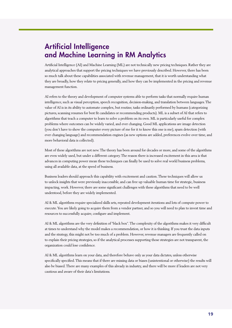# <span id="page-18-0"></span>Artificial Intelligence and Machine Learning in RM Analytics

Artificial Intelligence (AI) and Machine Learning (ML) are not technically new pricing techniques. Rather they are analytical approaches that support the pricing techniques we have previously described. However, there has been so much talk about these capabilities associated with revenue management, that it is worth understanding what they are broadly, how they relate to pricing generally, and how they can be implemented in the pricing and revenue management function.

AI refers to the theory and development of computer systems able to perform tasks that normally require human intelligence, such as visual perception, speech recognition, decision-making, and translation between languages. The value of AI is in its ability to automate complex, but routine, tasks ordinarily performed by humans (categorizing pictures, scanning resumes for best fit candidates or recommending products). ML is a subset of AI that refers to algorithms that teach a computer to learn to solve a problem on its own. ML is particularly useful for complex problems where outcomes can be widely varied, and ever changing. Good ML applications are image detection (you don't have to show the computer every picture of me for it to know this one is me), spam detection (with ever changing language) and recommendation engines (as new options are added, preferences evolve over time, and more behavioral data is collected).

Most of these algorithms are not new. The theory has been around for decades or more, and some of the algorithms are even widely used, but under a different category. The reason there is increased excitement in this area is that advances in computing power mean these techniques can finally be used to solve real world business problems, using all available data, at the speed of business.

Business leaders should approach this capability with excitement and caution. These techniques will allow us to unlock insights that were previously inaccessible, and can free up valuable human time for strategic, business impacting, work. However, there are some significant challenges with these algorithms that need to be well understood, before they are widely implemented.

AI & ML algorithms require specialized skills sets, repeated development iterations and lots of compute power to execute. You are likely going to acquire them from a vendor partner, and so you will need to plan to invest time and resources to successfully acquire, configure and implement.

AI & ML algorithms are the very definition of "black box". The complexity of the algorithms makes it very difficult at times to understand why the model makes a recommendation, or how it is thinking. If you trust the data inputs and the strategy, this might not be too much of a problem. However, revenue managers are frequently called on to explain their pricing strategies, so if the analytical processes supporting those strategies are not transparent, the organization could lose confidence.

AI & ML algorithms learn on your data, and therefore behave only as your data dictates, unless otherwise specifically specified. This means that if there are missing data or biases (unintentional or otherwise) the results will also be biased. There are many examples of this already in industry, and there will be more if leaders are not very cautious and aware of their data's limitations.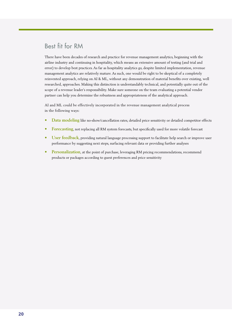# Best fit for RM

There have been decades of research and practice for revenue management analytics, beginning with the airline industry and continuing in hospitality, which means an extensive amount of testing (and trial and error) to develop best practices. As far as hospitality analytics go, despite limited implementation, revenue management analytics are relatively mature. As such, one would be right to be skeptical of a completely reinvented approach, relying on AI & ML, without any demonstration of material benefits over existing, well researched, approaches. Making this distinction is understandably technical, and potentially quite out of the scope of a revenue leader's responsibility. Make sure someone on the team evaluating a potential vendor partner can help you determine the robustness and appropriateness of the analytical approach.

AI and ML could be effectively incorporated in the revenue management analytical process in the following ways:

- **• Data modeling** like no-show/cancellation rates, detailed price sensitivity or detailed competitor effects
- **• Forecasting**, not replacing all RM system forecasts, but specifically used for more volatile forecast
- **• User feedback**, providing natural language processing support to facilitate help search or improve user performance by suggesting next steps, surfacing relevant data or providing further analyses
- **• Personalization**, at the point of purchase, leveraging RM pricing recommendations, recommend products or packages according to guest preferences and price sensitivity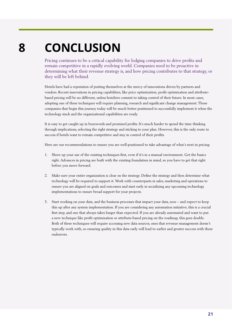# <span id="page-20-0"></span>**CONCLUSION 8**

Pricing continues to be a critical capability for lodging companies to drive profits and remain competitive in a rapidly evolving world. Companies need to be proactive in determining what their revenue strategy is, and how pricing contributes to that strategy, or they will be left behind.

Hotels have had a reputation of putting themselves at the mercy of innovations driven by partners and vendors. Recent innovations in pricing capabilities, like price optimization, profit optimization and attributebased pricing will be no different, unless hoteliers commit to taking control of their future. In most cases, adopting one of these techniques will require planning, research and significant change management. Those companies that begin this journey today will be much better positioned to successfully implement it when the technology stack and the organizational capabilities are ready.

It is easy to get caught up in buzzwords and promised profits. It's much harder to spend the time thinking through implications, selecting the right strategy and sticking to your plan. However, this is the only route to success if hotels want to remain competitive and stay in control of their profits.

Here are our recommendations to ensure you are well-positioned to take advantage of what's next in pricing:

- 1. Shore up your use of the existing techniques first, even if it's in a manual environment. Get the basics right. Advances in pricing are built with the existing foundation in mind, so you have to get that right before you move forward.
- 2. Make sure your entire organization is clear on the strategy. Define the strategy and then determine what technology will be required to support it. Work with counterparts in sales, marketing and operations to ensure you are aligned on goals and outcomes and start early in socializing any upcoming technology implementations to ensure broad support for your projects.
- 3. Start working on your data, and the business processes that impact your data, now and expect to keep this up after any system implementation. If you are considering any automation initiative, this is a crucial first step, and one that always takes longer than expected. If you are already automated and want to put a new technique like profit optimization or attribute-based pricing on the roadmap, this goes double. Both of these techniques will require accessing new data sources, ones that revenue management doesn't typically work with, so ensuring quality in this data early will lead to earlier and greater success with these endeavors.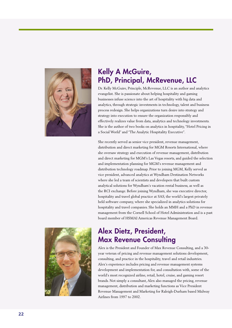

# Kelly A McGuire, PhD, Principal, McRevenue, LLC

Dr. Kelly McGuire, Principle, McRevenue, LLC is an author and analytics evangelist. She is passionate about helping hospitality and gaming businesses infuse science into the art of hospitality with big data and analytics, through strategic investments in technology, talent and business process redesign. She helps organizations turn desire into strategy and strategy into execution to ensure the organization responsibly and effectively realizes value from data, analytics and technology investments. She is the author of two books on analytics in hospitality, "Hotel Pricing in a Social World" and "The Analytic Hospitality Executive".

She recently served as senior vice president, revenue management, distribution and direct marketing for MGM Resorts International, where she oversaw strategy and execution of revenue management, distribution and direct marketing for MGM's Las Vegas resorts, and guided the selection and implementation planning for MGM's revenue management and distribution technology roadmap. Prior to joining MGM, Kelly served as vice president, advanced analytics at Wyndham Destination Networks where she led a team of scientists and developers that built custom analytical solutions for Wyndham's vacation rental business, as well as the RCI exchange. Before joining Wyndham, she was executive director, hospitality and travel global practice at SAS, the world's largest privately held software company, where she specialized in analytics solutions for hospitality and travel companies. She holds an MMH and a PhD in revenue management from the Cornell School of Hotel Administration and is a past board member of HSMAI Americas Revenue Management Board.



# Alex Dietz, President, Max Revenue Consulting

Alex is the President and Founder of Max Revenue Consulting, and a 30 year veteran of pricing and revenue management solutions development, consulting, and practice in the hospitality, travel and retail industries. Alex's experience includes pricing and revenue management systems development and implementation for, and consultation with, some of the world's most recognized airline, retail, hotel, cruise, and gaming resort brands. Not simply a consultant, Alex also managed the pricing, revenue management, distribution and marketing functions as Vice President Revenue Management and Marketing for Raleigh-Durham based Midway Airlines from 1997 to 2002.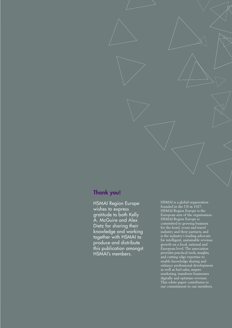### Thank you!

HSMAI Region Europe wishes to express gratitude to both Kelly A. McGuire and Alex Dietz for sharing their knowledge and working together with HSMAI to produce and distribute this publication amongst HSMAI's members.

HSMAI is a global organization founded in the US in 1927. HSMAI Region Europe is the European arm of the organisation. HSMAI Region Europe is committed to growing business for the hotel, event and travel industry and their partners, and is the industry's leading advocate for intelligent, sustainable revenue growth on a local, national and European level. The association provides practical tools, insights, and cutting edge expertise to enable knowledge sharing and enhance professional development as well as fuel sales, inspire marketing, transform businesses digitally and optimise revenue. This white paper contributes to our commitment to our members.